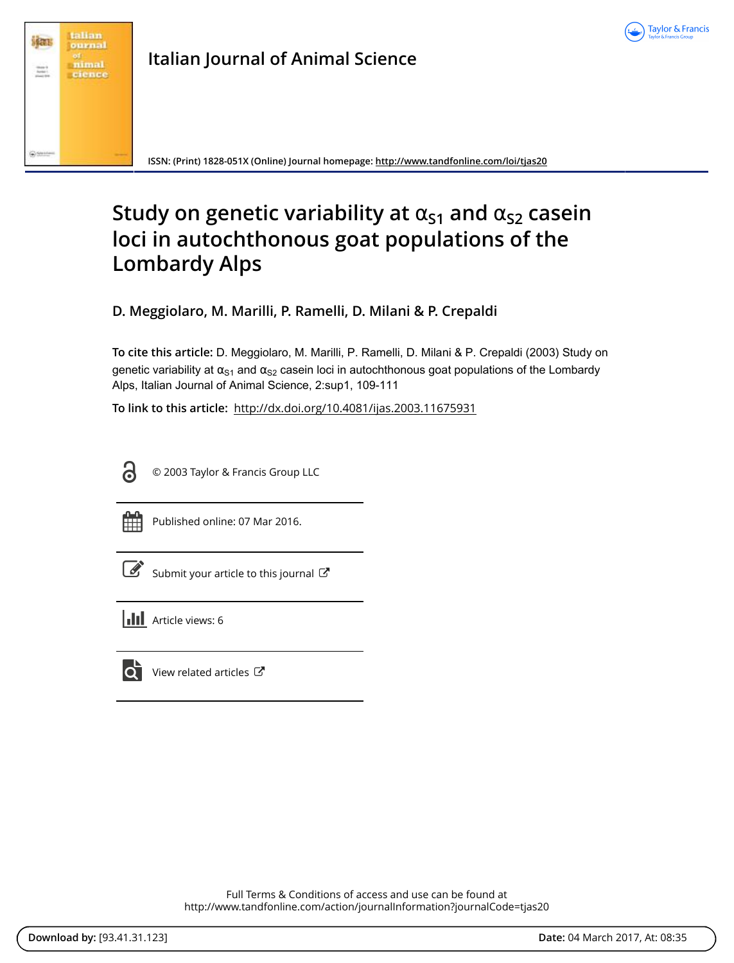



**ISSN: (Print) 1828-051X (Online) Journal homepage: <http://www.tandfonline.com/loi/tjas20>**

## **Study on genetic variability at**  $\alpha_{s1}$  **and**  $\alpha_{s2}$  **casein loci in autochthonous goat populations of the Lombardy Alps**

**D. Meggiolaro, M. Marilli, P. Ramelli, D. Milani & P. Crepaldi**

**To cite this article:** D. Meggiolaro, M. Marilli, P. Ramelli, D. Milani & P. Crepaldi (2003) Study on genetic variability at  $\alpha_{S1}$  and  $\alpha_{S2}$  casein loci in autochthonous goat populations of the Lombardy Alps, Italian Journal of Animal Science, 2:sup1, 109-111

**To link to this article:** <http://dx.doi.org/10.4081/ijas.2003.11675931>



© 2003 Taylor & Francis Group LLC



Published online: 07 Mar 2016.

|--|

[Submit your article to this journal](http://www.tandfonline.com/action/authorSubmission?journalCode=tjas20&show=instructions)  $\mathbb{Z}$ 





[View related articles](http://www.tandfonline.com/doi/mlt/10.4081/ijas.2003.11675931) C

Full Terms & Conditions of access and use can be found at <http://www.tandfonline.com/action/journalInformation?journalCode=tjas20>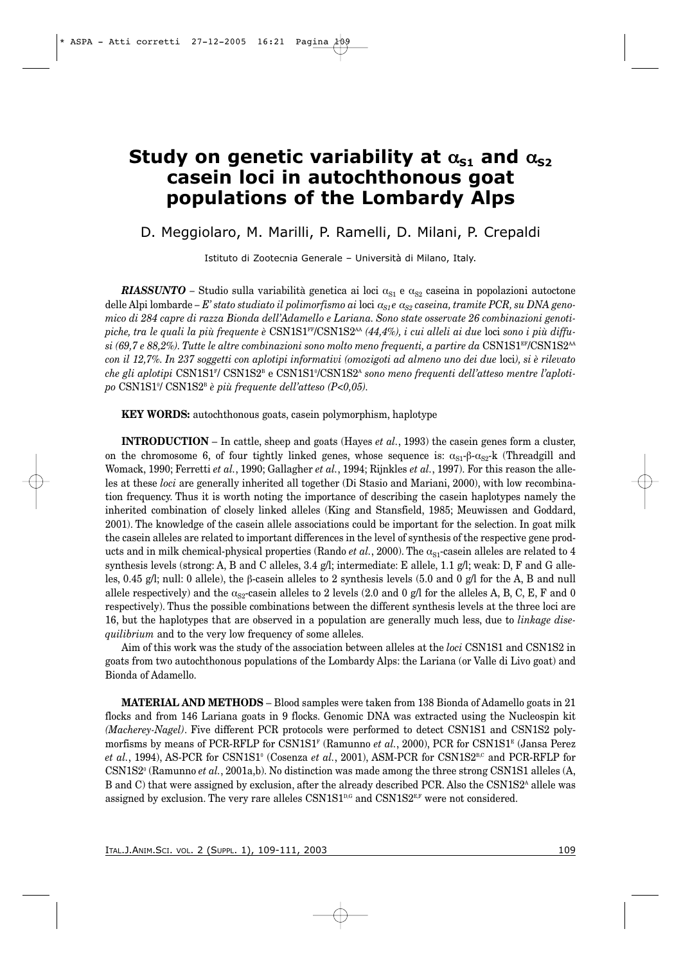## **Study on genetic variability at**  $\alpha_{s1}$  **and**  $\alpha_{s2}$ **casein loci in autochthonous goat populations of the Lombardy Alps**

## D. Meggiolaro, M. Marilli, P. Ramelli, D. Milani, P. Crepaldi

Istituto di Zootecnia Generale – Università di Milano, Italy.

*RIASSUNTO* – Studio sulla variabilità genetica ai loci  $\alpha_{S1}$  e  $\alpha_{S2}$  caseina in popolazioni autoctone delle Alpi lombarde *– E' stato studiato il polimorfismo ai* loci <sup>α</sup>*S1 e* <sup>α</sup>*S2 caseina, tramite PCR, su DNA genomico di 284 capre di razza Bionda dell'Adamello e Lariana. Sono state osservate 26 combinazioni genotipiche, tra le quali la più frequente è* CSN1S1FF/CSN1S2AA *(44,4%), i cui alleli ai due* loci *sono i più diffusi (69,7 e 88,2%). Tutte le altre combinazioni sono molto meno frequenti, a partire da* CSN1S1EF/CSN1S2AA *con il 12,7%. In 237 soggetti con aplotipi informativi (omozigoti ad almeno uno dei due* loci*), si è rilevato* che gli aplotipi CSN1S1<sup>r</sup>/ CSN1S2<sup>B</sup> e CSN1S1º/CSN1S2<sup>A</sup> sono meno frequenti dell'atteso mentre l'aploti*po* CSN1S10 / CSN1S2B *è più frequente dell'atteso (P<0,05).*

**KEY WORDS:** autochthonous goats, casein polymorphism, haplotype

**INTRODUCTION** – In cattle, sheep and goats (Hayes *et al.*, 1993) the casein genes form a cluster, on the chromosome 6, of four tightly linked genes, whose sequence is:  $\alpha_{S1} - \beta - \alpha_{S2} - k$  (Threadgill and Womack, 1990; Ferretti *et al.*, 1990; Gallagher *et al.*, 1994; Rijnkles *et al.*, 1997). For this reason the alleles at these *loci* are generally inherited all together (Di Stasio and Mariani, 2000), with low recombination frequency. Thus it is worth noting the importance of describing the casein haplotypes namely the inherited combination of closely linked alleles (King and Stansfield, 1985; Meuwissen and Goddard, 2001). The knowledge of the casein allele associations could be important for the selection. In goat milk the casein alleles are related to important differences in the level of synthesis of the respective gene products and in milk chemical-physical properties (Rando *et al.*, 2000). The  $\alpha_{S1}$ -casein alleles are related to 4 synthesis levels (strong: A, B and C alleles, 3.4 g/l; intermediate: E allele, 1.1 g/l; weak: D, F and G alleles, 0.45 g/l; null: 0 allele), the β-casein alleles to 2 synthesis levels (5.0 and 0 g/l for the A, B and null allele respectively) and the  $\alpha_{S2}$ -casein alleles to 2 levels (2.0 and 0 g/l for the alleles A, B, C, E, F and 0 respectively). Thus the possible combinations between the different synthesis levels at the three loci are 16, but the haplotypes that are observed in a population are generally much less, due to *linkage disequilibrium* and to the very low frequency of some alleles.

Aim of this work was the study of the association between alleles at the *loci* CSN1S1 and CSN1S2 in goats from two autochthonous populations of the Lombardy Alps: the Lariana (or Valle di Livo goat) and Bionda of Adamello.

**MATERIAL AND METHODS** – Blood samples were taken from 138 Bionda of Adamello goats in 21 flocks and from 146 Lariana goats in 9 flocks. Genomic DNA was extracted using the Nucleospin kit *(Macherey-Nagel)*. Five different PCR protocols were performed to detect CSN1S1 and CSN1S2 polymorfisms by means of PCR-RFLP for CSN1S1<sup>F</sup> (Ramunno *et al.*, 2000), PCR for CSN1S1<sup>E</sup> (Jansa Perez et al., 1994), AS-PCR for CSN1S1<sup>0</sup> (Cosenza et al., 2001), ASM-PCR for CSN1S2<sup>B,C</sup> and PCR-RFLP for CSN1S20 (Ramunno *et al.*, 2001a,b). No distinction was made among the three strong CSN1S1 alleles (A, B and C) that were assigned by exclusion, after the already described PCR. Also the CSN1S2<sup>A</sup> allele was assigned by exclusion. The very rare alleles  $CSN1S1^{p,q}$  and  $CSN1S2^{E,F}$  were not considered.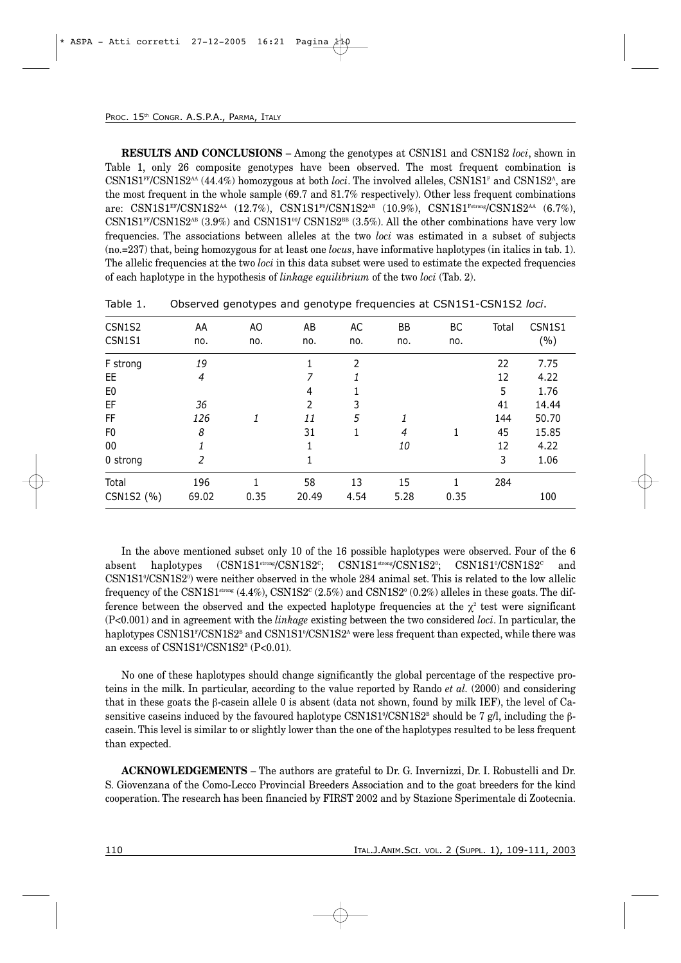**RESULTS AND CONCLUSIONS** – Among the genotypes at CSN1S1 and CSN1S2 *loci*, shown in Table 1, only 26 composite genotypes have been observed. The most frequent combination is  $\text{CSN1S1}^{\text{FP}}\text{CSN1S2}^{\text{AA}}$  (44.4%) homozygous at both *loci*. The involved alleles, CSN1S1<sup>F</sup> and CSN1S2<sup>A</sup>, are the most frequent in the whole sample (69.7 and 81.7% respectively). Other less frequent combinations are:  $\text{CNN1S1}^{\text{EF}}/\text{CSN1S2}^{\text{AA}}$  (12.7%),  $\text{CSN1S1}^{\text{F0}}/\text{CSN1S2}^{\text{AB}}$  (10.9%),  $\text{CSN1S1}^{\text{Fitrons}}/\text{CSN1S2}^{\text{AA}}$  (6.7%),  $\text{CSN1S1}^{\text{FF}}\text{/CSN1S2}^{\text{AB}}$  (3.9%) and  $\text{CSN1S1}^{\text{op}}\text{/CSN1S2}^{\text{BB}}$  (3.5%). All the other combinations have very low frequencies. The associations between alleles at the two *loci* was estimated in a subset of subjects (no.=237) that, being homozygous for at least one *locus*, have informative haplotypes (in italics in tab. 1). The allelic frequencies at the two *loci* in this data subset were used to estimate the expected frequencies of each haplotype in the hypothesis of *linkage equilibrium* of the two *loci* (Tab. 2).

| CSN1S2         | AA             | AO   | AB             | AC             | <b>BB</b> | BC   | Total | CSN1S1 |
|----------------|----------------|------|----------------|----------------|-----------|------|-------|--------|
| CSN1S1         | no.            | no.  | no.            | no.            | no.       | no.  |       | (%)    |
| F strong       | 19             |      |                | $\overline{2}$ |           |      | 22    | 7.75   |
| EE.            | $\overline{4}$ |      | 7              |                |           |      | 12    | 4.22   |
| E <sub>0</sub> |                |      | $\overline{4}$ |                |           |      | 5     | 1.76   |
| EF             | 36             |      | 2              | 3              |           |      | 41    | 14.44  |
| FF             | 126            | 1    | 11             | 5              | 1         |      | 144   | 50.70  |
| F <sub>0</sub> | 8              |      | 31             | $\mathbf{1}$   | 4         | 1    | 45    | 15.85  |
| 00             |                |      | 1              |                | 10        |      | 12    | 4.22   |
| 0 strong       | 2              |      | 1              |                |           |      | 3     | 1.06   |
| Total          | 196            |      | 58             | 13             | 15        | 1    | 284   |        |
| CSN1S2 (%)     | 69.02          | 0.35 | 20.49          | 4.54           | 5.28      | 0.35 |       | 100    |

|  | Table 1. |  |  | Observed genotypes and genotype frequencies at CSN1S1-CSN1S2 loci. |  |  |  |  |  |
|--|----------|--|--|--------------------------------------------------------------------|--|--|--|--|--|
|--|----------|--|--|--------------------------------------------------------------------|--|--|--|--|--|

In the above mentioned subset only 10 of the 16 possible haplotypes were observed. Four of the 6 absent haplotypes  $\overline{(CSN1S1^{strong}/CSN1S2^c)}$ ;  $CSN1S1^{strong}/CSN1S2^o;$ ;  $\text{CNN19/CSN1S2}^{\circ}$  and CSN1S1% CSN1S2<sup>0</sup> were neither observed in the whole 284 animal set. This is related to the low allelic frequency of the CSN1S1<sup>strong</sup>  $(4.4\%)$ , CSN1S2<sup>c</sup>  $(2.5\%)$  and CSN1S2<sup>o</sup>  $(0.2\%)$  alleles in these goats. The difference between the observed and the expected haplotype frequencies at the  $\chi^2$  test were significant (P<0.001) and in agreement with the *linkage* existing between the two considered *loci*. In particular, the haplotypes CSN1S1<sup>r</sup>/CSN1S2<sup>B</sup> and CSN1S1°/CSN1S2<sup>A</sup> were less frequent than expected, while there was an excess of CSN1S1%/CSN1S2<sup>B</sup> (P<0.01).

No one of these haplotypes should change significantly the global percentage of the respective proteins in the milk. In particular, according to the value reported by Rando *et al.* (2000) and considering that in these goats the β-casein allele 0 is absent (data not shown, found by milk IEF), the level of Casensitive caseins induced by the favoured haplotype CSN1S1%CSN1S2<sup>B</sup> should be 7 g/l, including the  $\beta$ casein. This level is similar to or slightly lower than the one of the haplotypes resulted to be less frequent than expected.

**ACKNOWLEDGEMENTS** – The authors are grateful to Dr. G. Invernizzi, Dr. I. Robustelli and Dr. S. Giovenzana of the Como-Lecco Provincial Breeders Association and to the goat breeders for the kind cooperation. The research has been financied by FIRST 2002 and by Stazione Sperimentale di Zootecnia.